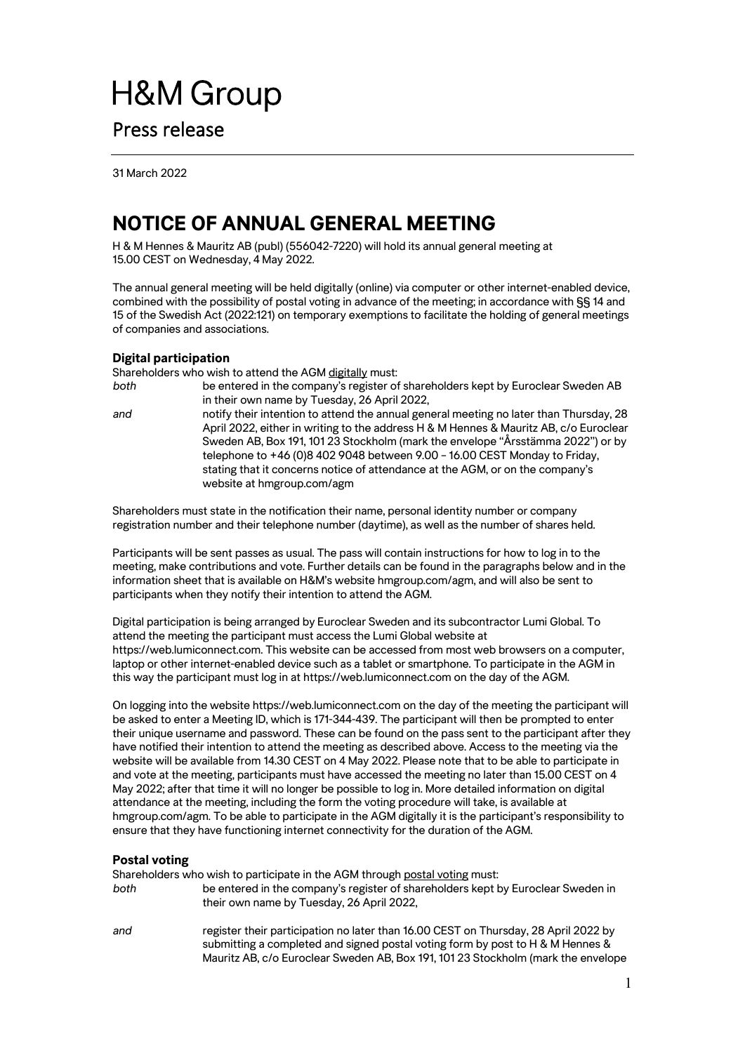# **H&M Group** Press release

31 March 2022

# **NOTICE OF ANNUAL GENERAL MEETING**

H & M Hennes & Mauritz AB (publ) (556042-7220) will hold its annual general meeting at 15.00 CEST on Wednesday, 4 May 2022.

The annual general meeting will be held digitally (online) via computer or other internet-enabled device, combined with the possibility of postal voting in advance of the meeting; in accordance with §§ 14 and 15 of the Swedish Act (2022:121) on temporary exemptions to facilitate the holding of general meetings of companies and associations.

# **Digital participation**

Shareholders who wish to attend the AGM digitally must:

*both* be entered in the company's register of shareholders kept by Euroclear Sweden AB in their own name by Tuesday, 26 April 2022, *and* notify their intention to attend the annual general meeting no later than Thursday, 28 April 2022, either in writing to the address H & M Hennes & Mauritz AB, c/o Euroclear Sweden AB, Box 191, 101 23 Stockholm (mark the envelope "Årsstämma 2022") or by telephone to +46 (0)8 402 9048 between 9.00 – 16.00 CEST Monday to Friday, stating that it concerns notice of attendance at the AGM, or on the company's website at hmgroup.com/agm

Shareholders must state in the notification their name, personal identity number or company registration number and their telephone number (daytime), as well as the number of shares held.

Participants will be sent passes as usual. The pass will contain instructions for how to log in to the meeting, make contributions and vote. Further details can be found in the paragraphs below and in the information sheet that is available on H&M's website hmgroup.com/agm, and will also be sent to participants when they notify their intention to attend the AGM.

Digital participation is being arranged by Euroclear Sweden and its subcontractor Lumi Global. To attend the meeting the participant must access the Lumi Global website at https://web.lumiconnect.com. This website can be accessed from most web browsers on a computer, laptop or other internet-enabled device such as a tablet or smartphone. To participate in the AGM in this way the participant must log in at https://web.lumiconnect.com on the day of the AGM.

On logging into the website https://web.lumiconnect.com on the day of the meeting the participant will be asked to enter a Meeting ID, which is 171-344-439. The participant will then be prompted to enter their unique username and password. These can be found on the pass sent to the participant after they have notified their intention to attend the meeting as described above. Access to the meeting via the website will be available from 14.30 CEST on 4 May 2022. Please note that to be able to participate in and vote at the meeting, participants must have accessed the meeting no later than 15.00 CEST on 4 May 2022; after that time it will no longer be possible to log in. More detailed information on digital attendance at the meeting, including the form the voting procedure will take, is available at hmgroup.com/agm. To be able to participate in the AGM digitally it is the participant's responsibility to ensure that they have functioning internet connectivity for the duration of the AGM.

# **Postal voting**

Shareholders who wish to participate in the AGM through postal voting must:

*both* be entered in the company's register of shareholders kept by Euroclear Sweden in their own name by Tuesday, 26 April 2022,

*and* register their participation no later than 16.00 CEST on Thursday, 28 April 2022 by submitting a completed and signed postal voting form by post to H & M Hennes & Mauritz AB, c/o Euroclear Sweden AB, Box 191, 101 23 Stockholm (mark the envelope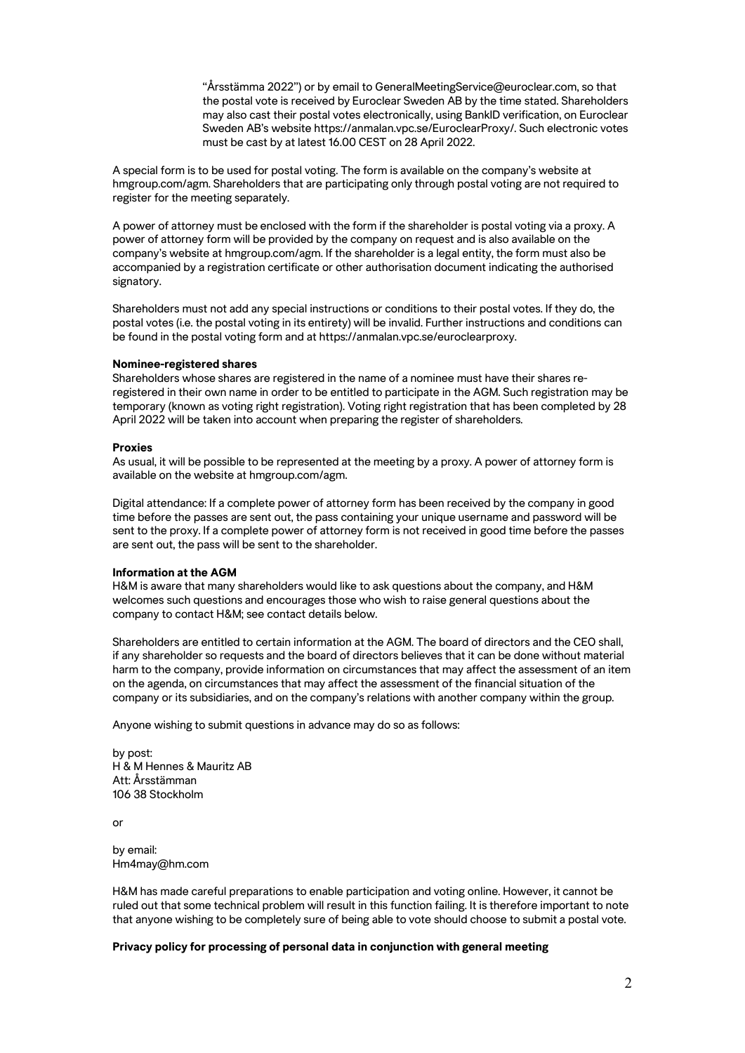"Årsstämma 2022") or by email to GeneralMeetingService@euroclear.com, so that the postal vote is received by Euroclear Sweden AB by the time stated. Shareholders may also cast their postal votes electronically, using BankID verification, on Euroclear Sweden AB's website https://anmalan.vpc.se/EuroclearProxy/. Such electronic votes must be cast by at latest 16.00 CEST on 28 April 2022.

A special form is to be used for postal voting. The form is available on the company's website at hmgroup.com/agm. Shareholders that are participating only through postal voting are not required to register for the meeting separately.

A power of attorney must be enclosed with the form if the shareholder is postal voting via a proxy. A power of attorney form will be provided by the company on request and is also available on the company's website at hmgroup.com/agm. If the shareholder is a legal entity, the form must also be accompanied by a registration certificate or other authorisation document indicating the authorised signatory.

Shareholders must not add any special instructions or conditions to their postal votes. If they do, the postal votes (i.e. the postal voting in its entirety) will be invalid. Further instructions and conditions can be found in the postal voting form and at https://anmalan.vpc.se/euroclearproxy.

#### **Nominee-registered shares**

Shareholders whose shares are registered in the name of a nominee must have their shares reregistered in their own name in order to be entitled to participate in the AGM. Such registration may be temporary (known as voting right registration). Voting right registration that has been completed by 28 April 2022 will be taken into account when preparing the register of shareholders.

#### **Proxies**

As usual, it will be possible to be represented at the meeting by a proxy. A power of attorney form is available on the website at hmgroup.com/agm.

Digital attendance: If a complete power of attorney form has been received by the company in good time before the passes are sent out, the pass containing your unique username and password will be sent to the proxy. If a complete power of attorney form is not received in good time before the passes are sent out, the pass will be sent to the shareholder.

#### **Information at the AGM**

H&M is aware that many shareholders would like to ask questions about the company, and H&M welcomes such questions and encourages those who wish to raise general questions about the company to contact H&M; see contact details below.

Shareholders are entitled to certain information at the AGM. The board of directors and the CEO shall, if any shareholder so requests and the board of directors believes that it can be done without material harm to the company, provide information on circumstances that may affect the assessment of an item on the agenda, on circumstances that may affect the assessment of the financial situation of the company or its subsidiaries, and on the company's relations with another company within the group.

Anyone wishing to submit questions in advance may do so as follows:

by post: H & M Hennes & Mauritz AB Att: Årsstämman 106 38 Stockholm

or

by email: Hm4may@hm.com

H&M has made careful preparations to enable participation and voting online. However, it cannot be ruled out that some technical problem will result in this function failing. It is therefore important to note that anyone wishing to be completely sure of being able to vote should choose to submit a postal vote.

#### **Privacy policy for processing of personal data in conjunction with general meeting**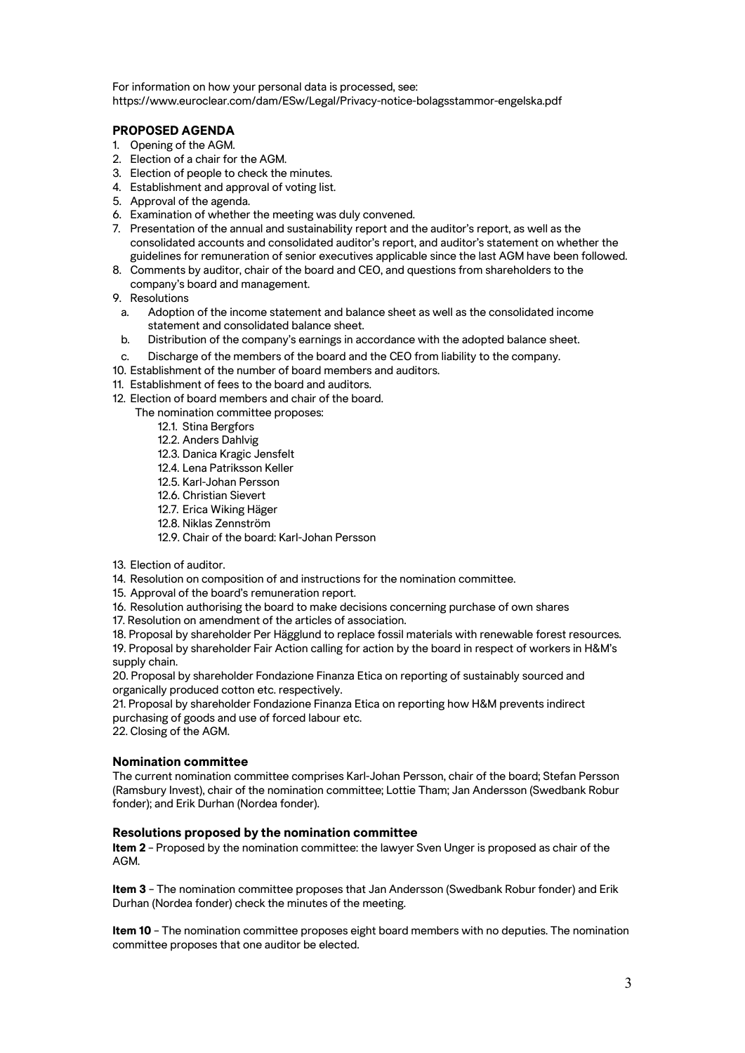For information on how your personal data is processed, see: https://www.euroclear.com/dam/ESw/Legal/Privacy-notice-bolagsstammor-engelska.pdf

# **PROPOSED AGENDA**

- 1. Opening of the AGM.
- 2. Election of a chair for the AGM.
- 3. Election of people to check the minutes.
- 4. Establishment and approval of voting list.
- 5. Approval of the agenda.
- 6. Examination of whether the meeting was duly convened.
- 7. Presentation of the annual and sustainability report and the auditor's report, as well as the consolidated accounts and consolidated auditor's report, and auditor's statement on whether the guidelines for remuneration of senior executives applicable since the last AGM have been followed.
- 8. Comments by auditor, chair of the board and CEO, and questions from shareholders to the company's board and management.
- 9. Resolutions
	- a. Adoption of the income statement and balance sheet as well as the consolidated income statement and consolidated balance sheet.
- b. Distribution of the company's earnings in accordance with the adopted balance sheet.
- c. Discharge of the members of the board and the CEO from liability to the company.
- 10. Establishment of the number of board members and auditors.
- 11. Establishment of fees to the board and auditors.
- 12. Election of board members and chair of the board.
	- The nomination committee proposes:
		- 12.1. Stina Bergfors
		- 12.2. Anders Dahlvig
		- 12.3. Danica Kragic Jensfelt
		- 12.4. Lena Patriksson Keller
		- 12.5. Karl-Johan Persson
		- 12.6. Christian Sievert
		- 12.7. Erica Wiking Häger
		- 12.8. Niklas Zennström
		- 12.9. Chair of the board: Karl-Johan Persson
- 13. Election of auditor.
- 14. Resolution on composition of and instructions for the nomination committee.
- 15. Approval of the board's remuneration report.
- 16. Resolution authorising the board to make decisions concerning purchase of own shares
- 17. Resolution on amendment of the articles of association.

18. Proposal by shareholder Per Hägglund to replace fossil materials with renewable forest resources. 19. Proposal by shareholder Fair Action calling for action by the board in respect of workers in H&M's

supply chain.

20. Proposal by shareholder Fondazione Finanza Etica on reporting of sustainably sourced and organically produced cotton etc. respectively.

21. Proposal by shareholder Fondazione Finanza Etica on reporting how H&M prevents indirect purchasing of goods and use of forced labour etc.

22. Closing of the AGM.

# **Nomination committee**

The current nomination committee comprises Karl-Johan Persson, chair of the board; Stefan Persson (Ramsbury Invest), chair of the nomination committee; Lottie Tham; Jan Andersson (Swedbank Robur fonder); and Erik Durhan (Nordea fonder).

# **Resolutions proposed by the nomination committee**

**Item 2** – Proposed by the nomination committee: the lawyer Sven Unger is proposed as chair of the AGM.

**Item 3** – The nomination committee proposes that Jan Andersson (Swedbank Robur fonder) and Erik Durhan (Nordea fonder) check the minutes of the meeting.

**Item 10** – The nomination committee proposes eight board members with no deputies. The nomination committee proposes that one auditor be elected.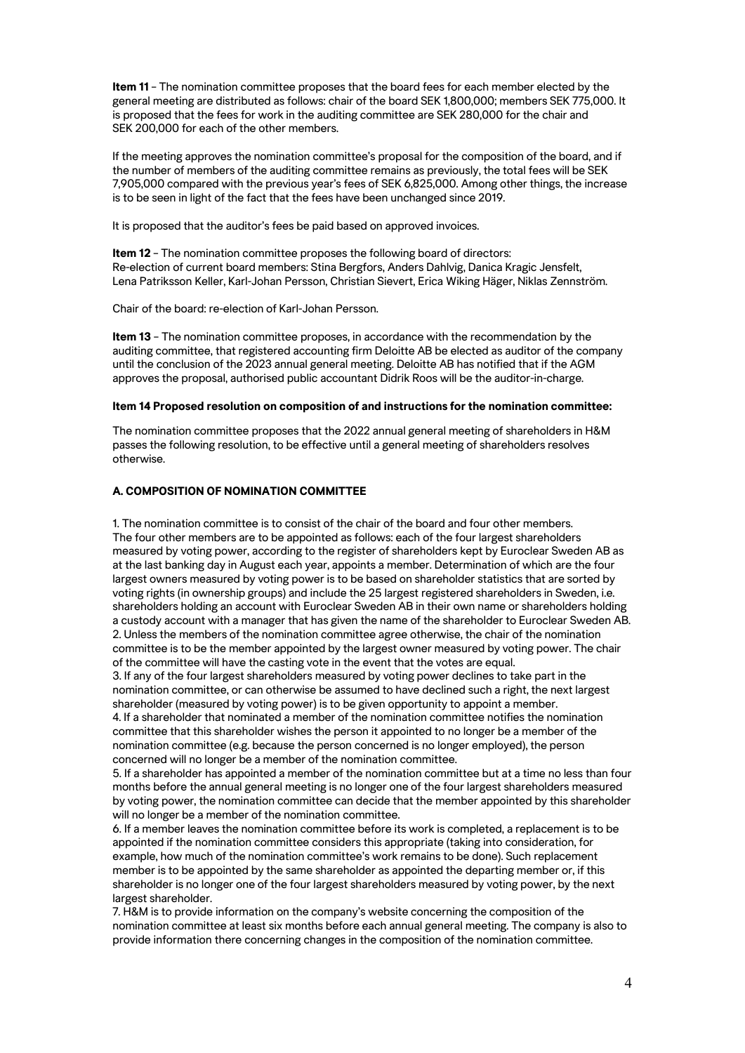**Item 11** – The nomination committee proposes that the board fees for each member elected by the general meeting are distributed as follows: chair of the board SEK 1,800,000; members SEK 775,000. It is proposed that the fees for work in the auditing committee are SEK 280,000 for the chair and SEK 200,000 for each of the other members.

If the meeting approves the nomination committee's proposal for the composition of the board, and if the number of members of the auditing committee remains as previously, the total fees will be SEK 7,905,000 compared with the previous year's fees of SEK 6,825,000. Among other things, the increase is to be seen in light of the fact that the fees have been unchanged since 2019.

It is proposed that the auditor's fees be paid based on approved invoices.

**Item 12** – The nomination committee proposes the following board of directors: Re-election of current board members: Stina Bergfors, Anders Dahlvig, Danica Kragic Jensfelt, Lena Patriksson Keller, Karl-Johan Persson, Christian Sievert, Erica Wiking Häger, Niklas Zennström.

Chair of the board: re-election of Karl-Johan Persson.

**Item 13** – The nomination committee proposes, in accordance with the recommendation by the auditing committee, that registered accounting firm Deloitte AB be elected as auditor of the company until the conclusion of the 2023 annual general meeting. Deloitte AB has notified that if the AGM approves the proposal, authorised public accountant Didrik Roos will be the auditor-in-charge.

# **Item 14 Proposed resolution on composition of and instructions for the nomination committee:**

The nomination committee proposes that the 2022 annual general meeting of shareholders in H&M passes the following resolution, to be effective until a general meeting of shareholders resolves otherwise.

# **A. COMPOSITION OF NOMINATION COMMITTEE**

1. The nomination committee is to consist of the chair of the board and four other members. The four other members are to be appointed as follows: each of the four largest shareholders measured by voting power, according to the register of shareholders kept by Euroclear Sweden AB as at the last banking day in August each year, appoints a member. Determination of which are the four largest owners measured by voting power is to be based on shareholder statistics that are sorted by voting rights (in ownership groups) and include the 25 largest registered shareholders in Sweden, i.e. shareholders holding an account with Euroclear Sweden AB in their own name or shareholders holding a custody account with a manager that has given the name of the shareholder to Euroclear Sweden AB. 2. Unless the members of the nomination committee agree otherwise, the chair of the nomination committee is to be the member appointed by the largest owner measured by voting power. The chair of the committee will have the casting vote in the event that the votes are equal.

3. If any of the four largest shareholders measured by voting power declines to take part in the nomination committee, or can otherwise be assumed to have declined such a right, the next largest shareholder (measured by voting power) is to be given opportunity to appoint a member. 4. If a shareholder that nominated a member of the nomination committee notifies the nomination

committee that this shareholder wishes the person it appointed to no longer be a member of the nomination committee (e.g. because the person concerned is no longer employed), the person concerned will no longer be a member of the nomination committee.

5. If a shareholder has appointed a member of the nomination committee but at a time no less than four months before the annual general meeting is no longer one of the four largest shareholders measured by voting power, the nomination committee can decide that the member appointed by this shareholder will no longer be a member of the nomination committee.

6. If a member leaves the nomination committee before its work is completed, a replacement is to be appointed if the nomination committee considers this appropriate (taking into consideration, for example, how much of the nomination committee's work remains to be done). Such replacement member is to be appointed by the same shareholder as appointed the departing member or, if this shareholder is no longer one of the four largest shareholders measured by voting power, by the next largest shareholder.

7. H&M is to provide information on the company's website concerning the composition of the nomination committee at least six months before each annual general meeting. The company is also to provide information there concerning changes in the composition of the nomination committee.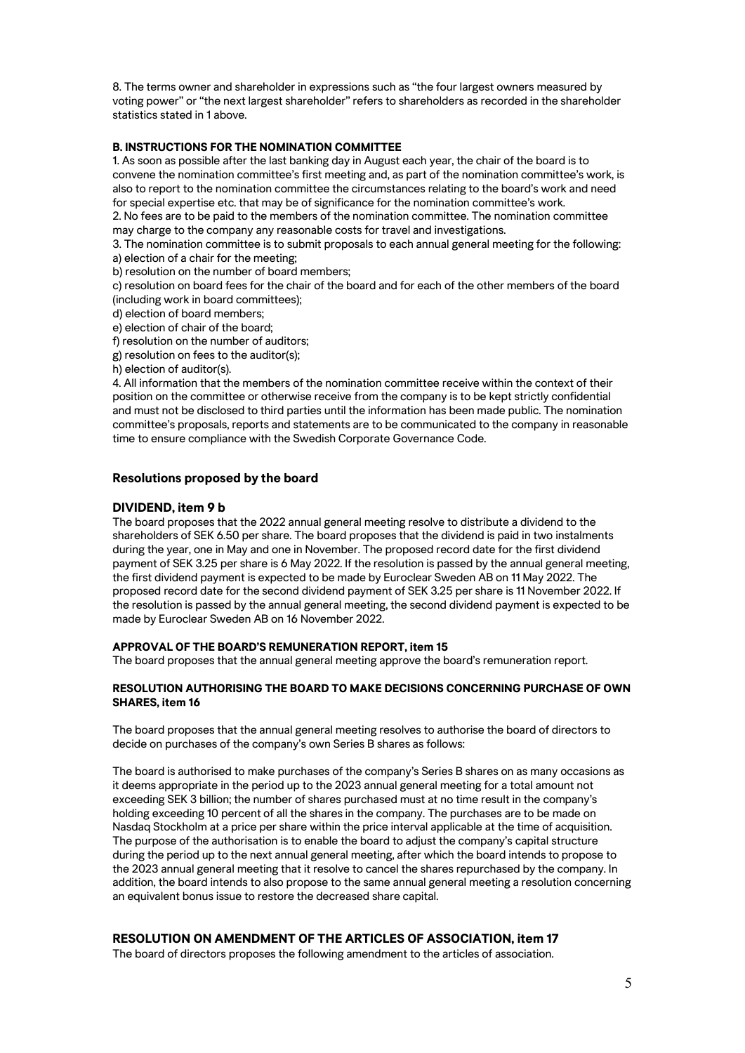8. The terms owner and shareholder in expressions such as "the four largest owners measured by voting power" or "the next largest shareholder" refers to shareholders as recorded in the shareholder statistics stated in 1 above.

# **B. INSTRUCTIONS FOR THE NOMINATION COMMITTEE**

1. As soon as possible after the last banking day in August each year, the chair of the board is to convene the nomination committee's first meeting and, as part of the nomination committee's work, is also to report to the nomination committee the circumstances relating to the board's work and need for special expertise etc. that may be of significance for the nomination committee's work. 2. No fees are to be paid to the members of the nomination committee. The nomination committee

may charge to the company any reasonable costs for travel and investigations.

3. The nomination committee is to submit proposals to each annual general meeting for the following: a) election of a chair for the meeting;

b) resolution on the number of board members;

c) resolution on board fees for the chair of the board and for each of the other members of the board (including work in board committees);

d) election of board members;

e) election of chair of the board;

f) resolution on the number of auditors;

g) resolution on fees to the auditor(s);

h) election of auditor(s).

4. All information that the members of the nomination committee receive within the context of their position on the committee or otherwise receive from the company is to be kept strictly confidential and must not be disclosed to third parties until the information has been made public. The nomination committee's proposals, reports and statements are to be communicated to the company in reasonable time to ensure compliance with the Swedish Corporate Governance Code.

# **Resolutions proposed by the board**

# **DIVIDEND, item 9 b**

The board proposes that the 2022 annual general meeting resolve to distribute a dividend to the shareholders of SEK 6.50 per share. The board proposes that the dividend is paid in two instalments during the year, one in May and one in November. The proposed record date for the first dividend payment of SEK 3.25 per share is 6 May 2022. If the resolution is passed by the annual general meeting, the first dividend payment is expected to be made by Euroclear Sweden AB on 11 May 2022. The proposed record date for the second dividend payment of SEK 3.25 per share is 11 November 2022. If the resolution is passed by the annual general meeting, the second dividend payment is expected to be made by Euroclear Sweden AB on 16 November 2022.

#### **APPROVAL OF THE BOARD'S REMUNERATION REPORT, item 15**

The board proposes that the annual general meeting approve the board's remuneration report.

# **RESOLUTION AUTHORISING THE BOARD TO MAKE DECISIONS CONCERNING PURCHASE OF OWN SHARES, item 16**

The board proposes that the annual general meeting resolves to authorise the board of directors to decide on purchases of the company's own Series B shares as follows:

The board is authorised to make purchases of the company's Series B shares on as many occasions as it deems appropriate in the period up to the 2023 annual general meeting for a total amount not exceeding SEK 3 billion; the number of shares purchased must at no time result in the company's holding exceeding 10 percent of all the shares in the company. The purchases are to be made on Nasdaq Stockholm at a price per share within the price interval applicable at the time of acquisition. The purpose of the authorisation is to enable the board to adjust the company's capital structure during the period up to the next annual general meeting, after which the board intends to propose to the 2023 annual general meeting that it resolve to cancel the shares repurchased by the company. In addition, the board intends to also propose to the same annual general meeting a resolution concerning an equivalent bonus issue to restore the decreased share capital.

# **RESOLUTION ON AMENDMENT OF THE ARTICLES OF ASSOCIATION, item 17**

The board of directors proposes the following amendment to the articles of association.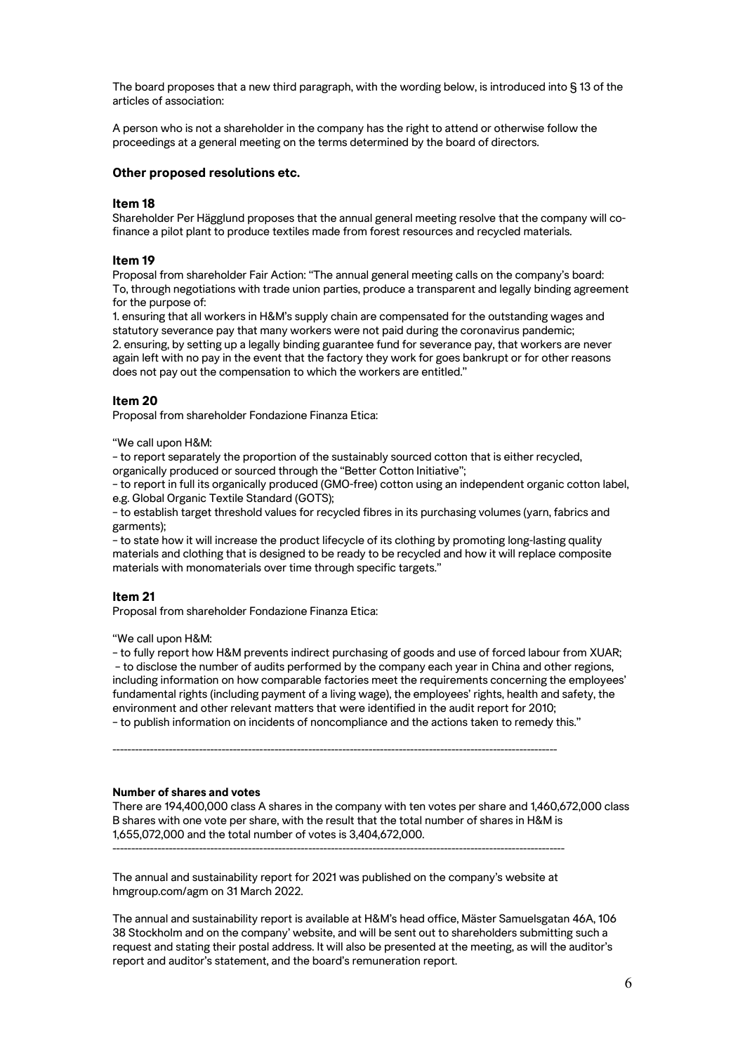The board proposes that a new third paragraph, with the wording below, is introduced into § 13 of the articles of association:

A person who is not a shareholder in the company has the right to attend or otherwise follow the proceedings at a general meeting on the terms determined by the board of directors.

## **Other proposed resolutions etc.**

#### **Item 18**

Shareholder Per Hägglund proposes that the annual general meeting resolve that the company will cofinance a pilot plant to produce textiles made from forest resources and recycled materials.

## **Item 19**

Proposal from shareholder Fair Action: "The annual general meeting calls on the company's board: To, through negotiations with trade union parties, produce a transparent and legally binding agreement for the purpose of:

1. ensuring that all workers in H&M's supply chain are compensated for the outstanding wages and statutory severance pay that many workers were not paid during the coronavirus pandemic; 2. ensuring, by setting up a legally binding guarantee fund for severance pay, that workers are never again left with no pay in the event that the factory they work for goes bankrupt or for other reasons does not pay out the compensation to which the workers are entitled."

#### **Item 20**

Proposal from shareholder Fondazione Finanza Etica:

"We call upon H&M:

– to report separately the proportion of the sustainably sourced cotton that is either recycled, organically produced or sourced through the "Better Cotton Initiative";

– to report in full its organically produced (GMO-free) cotton using an independent organic cotton label, e.g. Global Organic Textile Standard (GOTS);

– to establish target threshold values for recycled fibres in its purchasing volumes (yarn, fabrics and garments);

– to state how it will increase the product lifecycle of its clothing by promoting long-lasting quality materials and clothing that is designed to be ready to be recycled and how it will replace composite materials with monomaterials over time through specific targets."

#### **Item 21**

Proposal from shareholder Fondazione Finanza Etica:

#### "We call upon H&M:

– to fully report how H&M prevents indirect purchasing of goods and use of forced labour from XUAR; – to disclose the number of audits performed by the company each year in China and other regions, including information on how comparable factories meet the requirements concerning the employees' fundamental rights (including payment of a living wage), the employees' rights, health and safety, the environment and other relevant matters that were identified in the audit report for 2010; – to publish information on incidents of noncompliance and the actions taken to remedy this."

----------------------------------------------------------------------------------------------------------------------

#### **Number of shares and votes**

There are 194,400,000 class A shares in the company with ten votes per share and 1,460,672,000 class B shares with one vote per share, with the result that the total number of shares in H&M is 1,655,072,000 and the total number of votes is 3,404,672,000.

The annual and sustainability report for 2021 was published on the company's website at hmgroup.com/agm on 31 March 2022.

------------------------------------------------------------------------------------------------------------------------

The annual and sustainability report is available at H&M's head office, Mäster Samuelsgatan 46A, 106 38 Stockholm and on the company' website, and will be sent out to shareholders submitting such a request and stating their postal address. It will also be presented at the meeting, as will the auditor's report and auditor's statement, and the board's remuneration report.